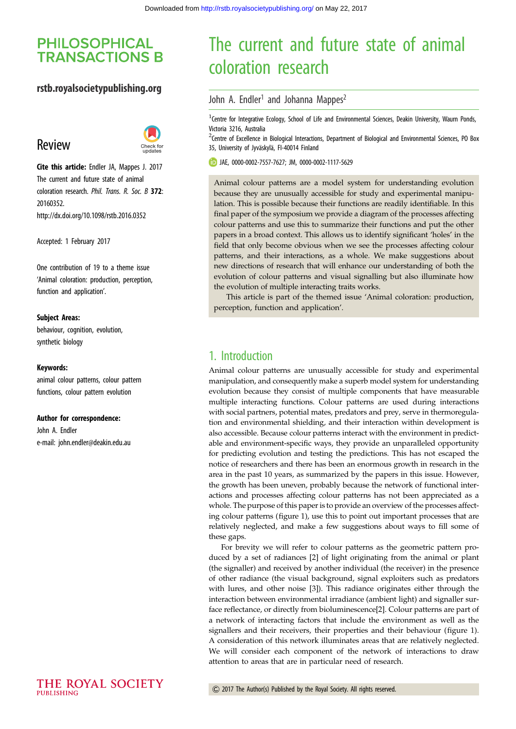# **PHILOSOPHICAL TRANSACTIONS B**

#### rstb.royalsocietypublishing.org

# Review



Cite this article: Endler JA, Mappes J. 2017 The current and future state of animal coloration research. Phil. Trans. R. Soc. B 372: 20160352. http://dx.doi.org/10.1098/rstb.2016.0352

Accepted: 1 February 2017

One contribution of 19 to a theme issue ['Animal coloration: production, perception,](http://dx.doi.org/10.1098/rstb/372/1724) [function and application'.](http://dx.doi.org/10.1098/rstb/372/1724)

#### Subject Areas:

behaviour, cognition, evolution, synthetic biology

#### Keywords:

animal colour patterns, colour pattern functions, colour pattern evolution

#### Author for correspondence:

John A. Endler e-mail: [john.endler@deakin.edu.au](mailto:john.endler@deakin.edu.au)

# The current and future state of animal coloration research

#### John A. Endler<sup>1</sup> and Johanna Mappes<sup>2</sup>

<sup>1</sup>Centre for Integrative Ecology, School of Life and Environmental Sciences, Deakin University, Waurn Ponds, Victoria 3216, Australia

<sup>2</sup>Centre of Excellence in Biological Interactions, Department of Biological and Environmental Sciences, PO Box 35, University of Jyväskylä, FI-40014 Finland

JAE, [0000-0002-7557-7627;](http://orcid.org/0000-0002-7557-7627) JM, [0000-0002-1117-5629](http://orcid.org/0000-0002-1117-5629)

Animal colour patterns are a model system for understanding evolution because they are unusually accessible for study and experimental manipulation. This is possible because their functions are readily identifiable. In this final paper of the symposium we provide a diagram of the processes affecting colour patterns and use this to summarize their functions and put the other papers in a broad context. This allows us to identify significant 'holes' in the field that only become obvious when we see the processes affecting colour patterns, and their interactions, as a whole. We make suggestions about new directions of research that will enhance our understanding of both the evolution of colour patterns and visual signalling but also illuminate how the evolution of multiple interacting traits works.

This article is part of the themed issue 'Animal coloration: production, perception, function and application'.

# 1. Introduction

Animal colour patterns are unusually accessible for study and experimental manipulation, and consequently make a superb model system for understanding evolution because they consist of multiple components that have measurable multiple interacting functions. Colour patterns are used during interactions with social partners, potential mates, predators and prey, serve in thermoregulation and environmental shielding, and their interaction within development is also accessible. Because colour patterns interact with the environment in predictable and environment-specific ways, they provide an unparalleled opportunity for predicting evolution and testing the predictions. This has not escaped the notice of researchers and there has been an enormous growth in research in the area in the past 10 years, as summarized by the papers in this issue. However, the growth has been uneven, probably because the network of functional interactions and processes affecting colour patterns has not been appreciated as a whole. The purpose of this paper is to provide an overview of the processes affecting colour patterns [\(figure 1\)](#page-1-0), use this to point out important processes that are relatively neglected, and make a few suggestions about ways to fill some of these gaps.

For brevity we will refer to colour patterns as the geometric pattern produced by a set of radiances [\[2\]](#page-5-0) of light originating from the animal or plant (the signaller) and received by another individual (the receiver) in the presence of other radiance (the visual background, signal exploiters such as predators with lures, and other noise [\[3\]](#page-5-0)). This radiance originates either through the interaction between environmental irradiance (ambient light) and signaller surface reflectance, or directly from bioluminescence[[2](#page-5-0)]. Colour patterns are part of a network of interacting factors that include the environment as well as the signallers and their receivers, their properties and their behaviour ([figure 1\)](#page-1-0). A consideration of this network illuminates areas that are relatively neglected. We will consider each component of the network of interactions to draw attention to areas that are in particular need of research.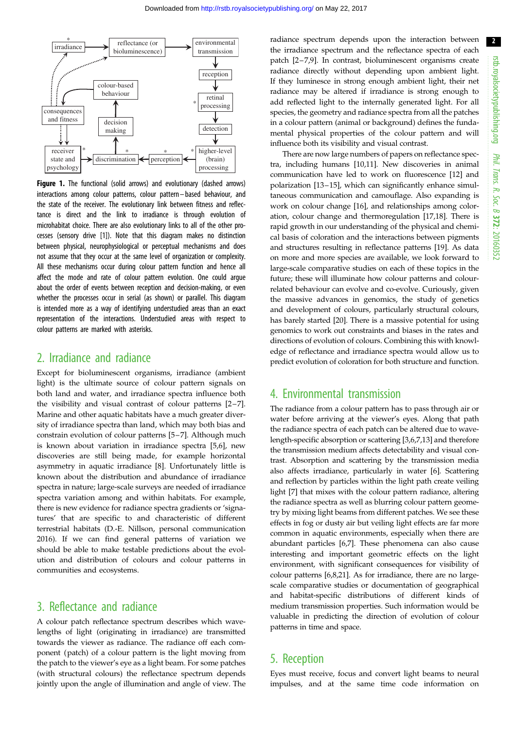2

<span id="page-1-0"></span>

Figure 1. The functional (solid arrows) and evolutionary (dashed arrows) interactions among colour patterns, colour pattern– based behaviour, and the state of the receiver. The evolutionary link between fitness and reflectance is direct and the link to irradiance is through evolution of microhabitat choice. There are also evolutionary links to all of the other processes (sensory drive [[1\]](#page-5-0)). Note that this diagram makes no distinction between physical, neurophysiological or perceptual mechanisms and does not assume that they occur at the same level of organization or complexity. All these mechanisms occur during colour pattern function and hence all affect the mode and rate of colour pattern evolution. One could argue about the order of events between reception and decision-making, or even whether the processes occur in serial (as shown) or parallel. This diagram is intended more as a way of identifying understudied areas than an exact representation of the interactions. Understudied areas with respect to colour patterns are marked with asterisks.

### 2. Irradiance and radiance

Except for bioluminescent organisms, irradiance (ambient light) is the ultimate source of colour pattern signals on both land and water, and irradiance spectra influence both the visibility and visual contrast of colour patterns  $[2-7]$  $[2-7]$  $[2-7]$  $[2-7]$ . Marine and other aquatic habitats have a much greater diversity of irradiance spectra than land, which may both bias and constrain evolution of colour patterns [\[5](#page-5-0)–[7\]](#page-5-0). Although much is known about variation in irradiance spectra [[5,6\]](#page-5-0), new discoveries are still being made, for example horizontal asymmetry in aquatic irradiance [[8](#page-5-0)]. Unfortunately little is known about the distribution and abundance of irradiance spectra in nature; large-scale surveys are needed of irradiance spectra variation among and within habitats. For example, there is new evidence for radiance spectra gradients or 'signatures' that are specific to and characteristic of different terrestrial habitats (D.-E. Nillson, personal communication 2016). If we can find general patterns of variation we should be able to make testable predictions about the evolution and distribution of colours and colour patterns in communities and ecosystems.

### 3. Reflectance and radiance

A colour patch reflectance spectrum describes which wavelengths of light (originating in irradiance) are transmitted towards the viewer as radiance. The radiance off each component (patch) of a colour pattern is the light moving from the patch to the viewer's eye as a light beam. For some patches (with structural colours) the reflectance spectrum depends jointly upon the angle of illumination and angle of view. The radiance spectrum depends upon the interaction between the irradiance spectrum and the reflectance spectra of each patch [\[2](#page-5-0)–[7,9](#page-5-0)]. In contrast, bioluminescent organisms create radiance directly without depending upon ambient light. If they luminesce in strong enough ambient light, their net radiance may be altered if irradiance is strong enough to add reflected light to the internally generated light. For all species, the geometry and radiance spectra from all the patches in a colour pattern (animal or background) defines the fundamental physical properties of the colour pattern and will influence both its visibility and visual contrast.

There are now large numbers of papers on reflectance spectra, including humans [\[10,11](#page-5-0)]. New discoveries in animal communication have led to work on fluorescence [[12\]](#page-5-0) and polarization [\[13](#page-5-0)–[15](#page-5-0)], which can significantly enhance simultaneous communication and camouflage. Also expanding is work on colour change [[16\]](#page-5-0), and relationships among coloration, colour change and thermoregulation [\[17,18](#page-5-0)]. There is rapid growth in our understanding of the physical and chemical basis of coloration and the interactions between pigments and structures resulting in reflectance patterns [\[19](#page-5-0)]. As data on more and more species are available, we look forward to large-scale comparative studies on each of these topics in the future; these will illuminate how colour patterns and colourrelated behaviour can evolve and co-evolve. Curiously, given the massive advances in genomics, the study of genetics and development of colours, particularly structural colours, has barely started [\[20](#page-5-0)]. There is a massive potential for using genomics to work out constraints and biases in the rates and directions of evolution of colours. Combining this with knowledge of reflectance and irradiance spectra would allow us to predict evolution of coloration for both structure and function.

#### 4. Environmental transmission

The radiance from a colour pattern has to pass through air or water before arriving at the viewer's eyes. Along that path the radiance spectra of each patch can be altered due to wavelength-specific absorption or scattering [\[3,6](#page-5-0),[7,13](#page-5-0)] and therefore the transmission medium affects detectability and visual contrast. Absorption and scattering by the transmission media also affects irradiance, particularly in water [[6](#page-5-0)]. Scattering and reflection by particles within the light path create veiling light [[7](#page-5-0)] that mixes with the colour pattern radiance, altering the radiance spectra as well as blurring colour pattern geometry by mixing light beams from different patches. We see these effects in fog or dusty air but veiling light effects are far more common in aquatic environments, especially when there are abundant particles [\[6,7](#page-5-0)]. These phenomena can also cause interesting and important geometric effects on the light environment, with significant consequences for visibility of colour patterns [\[6,8](#page-5-0),[21](#page-6-0)]. As for irradiance, there are no largescale comparative studies or documentation of geographical and habitat-specific distributions of different kinds of medium transmission properties. Such information would be valuable in predicting the direction of evolution of colour patterns in time and space.

## 5. Reception

Eyes must receive, focus and convert light beams to neural impulses, and at the same time code information on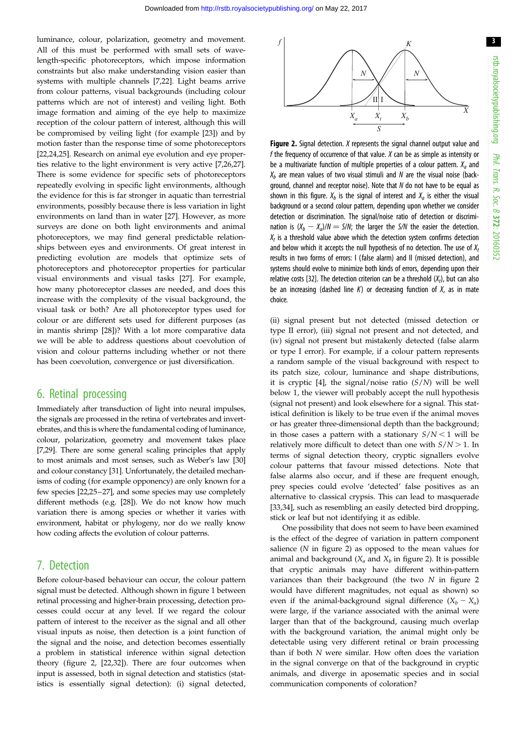<span id="page-2-0"></span>luminance, colour, polarization, geometry and movement. All of this must be performed with small sets of wavelength-specific photoreceptors, which impose information constraints but also make understanding vision easier than systems with multiple channels [[7](#page-5-0),[22](#page-6-0)]. Light beams arrive from colour patterns, visual backgrounds (including colour patterns which are not of interest) and veiling light. Both image formation and aiming of the eye help to maximize reception of the colour pattern of interest, although this will be compromised by veiling light (for example [[23](#page-6-0)]) and by motion faster than the response time of some photoreceptors [\[22](#page-6-0),[24,25\]](#page-6-0). Research on animal eye evolution and eye properties relative to the light environment is very active [\[7,](#page-5-0)[26,27](#page-6-0)]. There is some evidence for specific sets of photoreceptors repeatedly evolving in specific light environments, although the evidence for this is far stronger in aquatic than terrestrial environments, possibly because there is less variation in light environments on land than in water [\[27](#page-6-0)]. However, as more surveys are done on both light environments and animal photoreceptors, we may find general predictable relationships between eyes and environments. Of great interest in predicting evolution are models that optimize sets of photoreceptors and photoreceptor properties for particular visual environments and visual tasks [[27\]](#page-6-0). For example, how many photoreceptor classes are needed, and does this increase with the complexity of the visual background, the visual task or both? Are all photoreceptor types used for colour or are different sets used for different purposes (as in mantis shrimp [\[28](#page-6-0)])? With a lot more comparative data we will be able to address questions about coevolution of vision and colour patterns including whether or not there has been coevolution, convergence or just diversification.

#### 6. Retinal processing

Immediately after transduction of light into neural impulses, the signals are processed in the retina of vertebrates and invertebrates, and this is where the fundamental coding of luminance, colour, polarization, geometry and movement takes place [\[7,](#page-5-0)[29\]](#page-6-0). There are some general scaling principles that apply to most animals and most senses, such as Weber's law [[30\]](#page-6-0) and colour constancy [[31\]](#page-6-0). Unfortunately, the detailed mechanisms of coding (for example opponency) are only known for a few species [\[22,25](#page-6-0)–[27\]](#page-6-0), and some species may use completely different methods (e.g. [\[28\]](#page-6-0)). We do not know how much variation there is among species or whether it varies with environment, habitat or phylogeny, nor do we really know how coding affects the evolution of colour patterns.

## 7. Detection

Before colour-based behaviour can occur, the colour pattern signal must be detected. Although shown in [figure 1](#page-1-0) between retinal processing and higher-brain processing, detection processes could occur at any level. If we regard the colour pattern of interest to the receiver as the signal and all other visual inputs as noise, then detection is a joint function of the signal and the noise, and detection becomes essentially a problem in statistical inference within signal detection theory (figure 2, [[22,32\]](#page-6-0)). There are four outcomes when input is assessed, both in signal detection and statistics (statistics is essentially signal detection): (i) signal detected,



Figure 2. Signal detection. *X* represents the signal channel output value and f the frequency of occurrence of that value. X can be as simple as intensity or be a multivariate function of multiple properties of a colour pattern.  $X_a$  and  $X_b$  are mean values of two visual stimuli and N are the visual noise (background, channel and receptor noise). Note that N do not have to be equal as shown in this figure.  $X_b$  is the signal of interest and  $X_a$  is either the visual background or a second colour pattern, depending upon whether we consider detection or discrimination. The signal/noise ratio of detection or discrimination is  $(X_b - X_a)/N = S/N$ ; the larger the S/N the easier the detection.  $X_t$  is a threshold value above which the detection system confirms detection and below which it accepts the null hypothesis of no detection. The use of  $X_t$ results in two forms of errors: I (false alarm) and II (missed detection), and systems should evolve to minimize both kinds of errors, depending upon their relative costs [[32](#page-6-0)]. The detection criterion can be a threshold  $(X_t)$ , but can also be an increasing (dashed line  $K$ ) or decreasing function of  $X$ , as in mate choice.

(ii) signal present but not detected (missed detection or type II error), (iii) signal not present and not detected, and (iv) signal not present but mistakenly detected (false alarm or type I error). For example, if a colour pattern represents a random sample of the visual background with respect to its patch size, colour, luminance and shape distributions, it is cryptic  $[4]$ , the signal/noise ratio  $(S/N)$  will be well below 1, the viewer will probably accept the null hypothesis (signal not present) and look elsewhere for a signal. This statistical definition is likely to be true even if the animal moves or has greater three-dimensional depth than the background; in those cases a pattern with a stationary  $S/N < 1$  will be relatively more difficult to detect than one with  $S/N > 1$ . In terms of signal detection theory, cryptic signallers evolve colour patterns that favour missed detections. Note that false alarms also occur, and if these are frequent enough, prey species could evolve 'detected' false positives as an alternative to classical crypsis. This can lead to masquerade [[33,34\]](#page-6-0), such as resembling an easily detected bird dropping, stick or leaf but not identifying it as edible.

One possibility that does not seem to have been examined is the effect of the degree of variation in pattern component salience  $(N \text{ in figure 2})$  as opposed to the mean values for animal and background ( $X_a$  and  $X_b$  in figure 2). It is possible that cryptic animals may have different within-pattern variances than their background (the two N in figure 2 would have different magnitudes, not equal as shown) so even if the animal-background signal difference  $(X_b - X_a)$ were large, if the variance associated with the animal were larger than that of the background, causing much overlap with the background variation, the animal might only be detectable using very different retinal or brain processing than if both N were similar. How often does the variation in the signal converge on that of the background in cryptic animals, and diverge in aposematic species and in social communication components of coloration?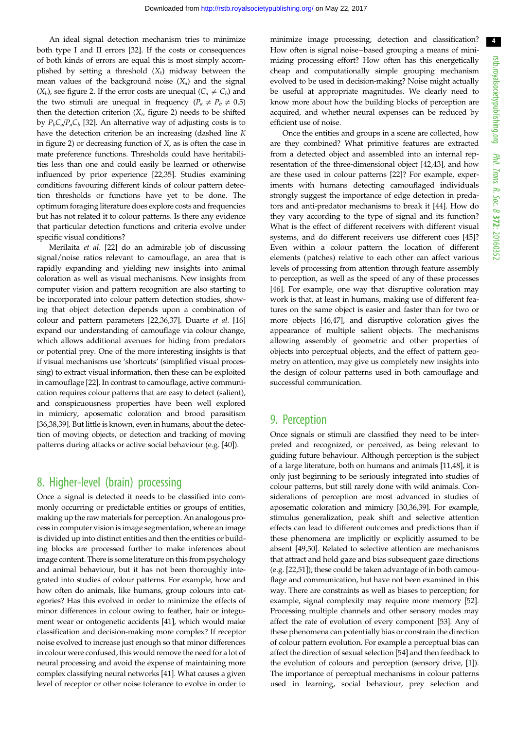4

An ideal signal detection mechanism tries to minimize both type I and II errors [\[32](#page-6-0)]. If the costs or consequences of both kinds of errors are equal this is most simply accomplished by setting a threshold  $(X_t)$  midway between the mean values of the background noise  $(X_a)$  and the signal  $(X_b)$ , see [figure 2.](#page-2-0) If the error costs are unequal  $(C_a \neq C_b)$  and the two stimuli are unequal in frequency ( $P_a \neq P_b \neq 0.5$ ) then the detection criterion  $(X_t, f_{\text{figure}})$  needs to be shifted by  $P_bC_a/P_aC_b$  [[32\]](#page-6-0). An alternative way of adjusting costs is to have the detection criterion be an increasing (dashed line K in [figure 2\)](#page-2-0) or decreasing function of X, as is often the case in mate preference functions. Thresholds could have heritabilities less than one and could easily be learned or otherwise influenced by prior experience [\[22,35](#page-6-0)]. Studies examining conditions favouring different kinds of colour pattern detection thresholds or functions have yet to be done. The optimum foraging literature does explore costs and frequencies but has not related it to colour patterns. Is there any evidence that particular detection functions and criteria evolve under specific visual conditions?

Merilaita et al. [[22\]](#page-6-0) do an admirable job of discussing signal/noise ratios relevant to camouflage, an area that is rapidly expanding and yielding new insights into animal coloration as well as visual mechanisms. New insights from computer vision and pattern recognition are also starting to be incorporated into colour pattern detection studies, showing that object detection depends upon a combination of colour and pattern parameters [[22](#page-6-0),[36,37\]](#page-6-0). Duarte et al. [[16\]](#page-5-0) expand our understanding of camouflage via colour change, which allows additional avenues for hiding from predators or potential prey. One of the more interesting insights is that if visual mechanisms use 'shortcuts' (simplified visual processing) to extract visual information, then these can be exploited in camouflage [[22\]](#page-6-0). In contrast to camouflage, active communication requires colour patterns that are easy to detect (salient), and conspicuousness properties have been well explored in mimicry, aposematic coloration and brood parasitism [\[36,38](#page-6-0),[39](#page-6-0)]. But little is known, even in humans, about the detection of moving objects, or detection and tracking of moving patterns during attacks or active social behaviour (e.g. [[40\]](#page-6-0)).

### 8. Higher-level (brain) processing

Once a signal is detected it needs to be classified into commonly occurring or predictable entities or groups of entities, making up the raw materials for perception. An analogous process in computer vision is image segmentation, where an image is divided up into distinct entities and then the entities or building blocks are processed further to make inferences about image content. There is some literature on this from psychology and animal behaviour, but it has not been thoroughly integrated into studies of colour patterns. For example, how and how often do animals, like humans, group colours into categories? Has this evolved in order to minimize the effects of minor differences in colour owing to feather, hair or integument wear or ontogenetic accidents [\[41](#page-6-0)], which would make classification and decision-making more complex? If receptor noise evolved to increase just enough so that minor differences in colour were confused, this would remove the need for a lot of neural processing and avoid the expense of maintaining more complex classifying neural networks [[41\]](#page-6-0). What causes a given level of receptor or other noise tolerance to evolve in order to

minimize image processing, detection and classification? How often is signal noise–based grouping a means of minimizing processing effort? How often has this energetically cheap and computationally simple grouping mechanism evolved to be used in decision-making? Noise might actually be useful at appropriate magnitudes. We clearly need to know more about how the building blocks of perception are acquired, and whether neural expenses can be reduced by efficient use of noise.

Once the entities and groups in a scene are collected, how are they combined? What primitive features are extracted from a detected object and assembled into an internal representation of the three-dimensional object [[42,43\]](#page-6-0), and how are these used in colour patterns [[22\]](#page-6-0)? For example, experiments with humans detecting camouflaged individuals strongly suggest the importance of edge detection in predators and anti-predator mechanisms to break it [\[44](#page-6-0)]. How do they vary according to the type of signal and its function? What is the effect of different receivers with different visual systems, and do different receivers use different cues [[45\]](#page-6-0)? Even within a colour pattern the location of different elements (patches) relative to each other can affect various levels of processing from attention through feature assembly to perception, as well as the speed of any of these processes [[46\]](#page-6-0). For example, one way that disruptive coloration may work is that, at least in humans, making use of different features on the same object is easier and faster than for two or more objects [[46,47\]](#page-6-0), and disruptive coloration gives the appearance of multiple salient objects. The mechanisms allowing assembly of geometric and other properties of objects into perceptual objects, and the effect of pattern geometry on attention, may give us completely new insights into the design of colour patterns used in both camouflage and successful communication.

# 9. Perception

Once signals or stimuli are classified they need to be interpreted and recognized, or perceived, as being relevant to guiding future behaviour. Although perception is the subject of a large literature, both on humans and animals [\[11](#page-5-0)[,48](#page-6-0)], it is only just beginning to be seriously integrated into studies of colour patterns, but still rarely done with wild animals. Considerations of perception are most advanced in studies of aposematic coloration and mimicry [[30,36,39](#page-6-0)]. For example, stimulus generalization, peak shift and selective attention effects can lead to different outcomes and predictions than if these phenomena are implicitly or explicitly assumed to be absent [[49,50\]](#page-6-0). Related to selective attention are mechanisms that attract and hold gaze and bias subsequent gaze directions (e.g. [[22,51\]](#page-6-0)); these could be taken advantage of in both camouflage and communication, but have not been examined in this way. There are constraints as well as biases to perception; for example, signal complexity may require more memory [[52\]](#page-6-0). Processing multiple channels and other sensory modes may affect the rate of evolution of every component [[53](#page-6-0)]. Any of these phenomena can potentially bias or constrain the direction of colour pattern evolution. For example a perceptual bias can affect the direction of sexual selection [\[54](#page-6-0)] and then feedback to the evolution of colours and perception (sensory drive, [\[1\]](#page-5-0)). The importance of perceptual mechanisms in colour patterns used in learning, social behaviour, prey selection and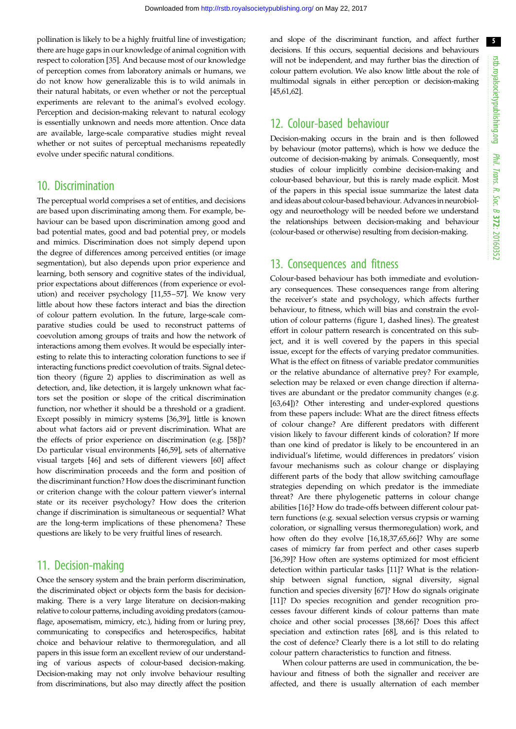5

pollination is likely to be a highly fruitful line of investigation; there are huge gaps in our knowledge of animal cognition with respect to coloration [\[35](#page-6-0)]. And because most of our knowledge of perception comes from laboratory animals or humans, we do not know how generalizable this is to wild animals in their natural habitats, or even whether or not the perceptual experiments are relevant to the animal's evolved ecology. Perception and decision-making relevant to natural ecology is essentially unknown and needs more attention. Once data are available, large-scale comparative studies might reveal whether or not suites of perceptual mechanisms repeatedly evolve under specific natural conditions.

# 10. Discrimination

The perceptual world comprises a set of entities, and decisions are based upon discriminating among them. For example, behaviour can be based upon discrimination among good and bad potential mates, good and bad potential prey, or models and mimics. Discrimination does not simply depend upon the degree of differences among perceived entities (or image segmentation), but also depends upon prior experience and learning, both sensory and cognitive states of the individual, prior expectations about differences (from experience or evolution) and receiver psychology [\[11](#page-5-0)[,55](#page-6-0)–[57](#page-6-0)]. We know very little about how these factors interact and bias the direction of colour pattern evolution. In the future, large-scale comparative studies could be used to reconstruct patterns of coevolution among groups of traits and how the network of interactions among them evolves. It would be especially interesting to relate this to interacting coloration functions to see if interacting functions predict coevolution of traits. Signal detection theory [\(figure 2](#page-2-0)) applies to discrimination as well as detection, and, like detection, it is largely unknown what factors set the position or slope of the critical discrimination function, nor whether it should be a threshold or a gradient. Except possibly in mimicry systems [\[36,39](#page-6-0)], little is known about what factors aid or prevent discrimination. What are the effects of prior experience on discrimination (e.g. [[58\]](#page-6-0))? Do particular visual environments [\[46,59](#page-6-0)], sets of alternative visual targets [\[46](#page-6-0)] and sets of different viewers [\[60](#page-6-0)] affect how discrimination proceeds and the form and position of the discriminant function? How does the discriminant function or criterion change with the colour pattern viewer's internal state or its receiver psychology? How does the criterion change if discrimination is simultaneous or sequential? What are the long-term implications of these phenomena? These questions are likely to be very fruitful lines of research.

# 11. Decision-making

Once the sensory system and the brain perform discrimination, the discriminated object or objects form the basis for decisionmaking. There is a very large literature on decision-making relative to colour patterns, including avoiding predators (camouflage, aposematism, mimicry, etc.), hiding from or luring prey, communicating to conspecifics and heterospecifics, habitat choice and behaviour relative to thermoregulation, and all papers in this issue form an excellent review of our understanding of various aspects of colour-based decision-making. Decision-making may not only involve behaviour resulting from discriminations, but also may directly affect the position and slope of the discriminant function, and affect further decisions. If this occurs, sequential decisions and behaviours will not be independent, and may further bias the direction of colour pattern evolution. We also know little about the role of multimodal signals in either perception or decision-making [[45,61,62\]](#page-6-0).

# 12. Colour-based behaviour

Decision-making occurs in the brain and is then followed by behaviour (motor patterns), which is how we deduce the outcome of decision-making by animals. Consequently, most studies of colour implicitly combine decision-making and colour-based behaviour, but this is rarely made explicit. Most of the papers in this special issue summarize the latest data and ideas about colour-based behaviour. Advances in neurobiology and neuroethology will be needed before we understand the relationships between decision-making and behaviour (colour-based or otherwise) resulting from decision-making.

# 13. Consequences and fitness

Colour-based behaviour has both immediate and evolutionary consequences. These consequences range from altering the receiver's state and psychology, which affects further behaviour, to fitness, which will bias and constrain the evolution of colour patterns [\(figure 1,](#page-1-0) dashed lines). The greatest effort in colour pattern research is concentrated on this subject, and it is well covered by the papers in this special issue, except for the effects of varying predator communities. What is the effect on fitness of variable predator communities or the relative abundance of alternative prey? For example, selection may be relaxed or even change direction if alternatives are abundant or the predator community changes (e.g. [[63,64\]](#page-6-0))? Other interesting and under-explored questions from these papers include: What are the direct fitness effects of colour change? Are different predators with different vision likely to favour different kinds of coloration? If more than one kind of predator is likely to be encountered in an individual's lifetime, would differences in predators' vision favour mechanisms such as colour change or displaying different parts of the body that allow switching camouflage strategies depending on which predator is the immediate threat? Are there phylogenetic patterns in colour change abilities [\[16](#page-5-0)]? How do trade-offs between different colour pattern functions (e.g. sexual selection versus crypsis or warning coloration, or signalling versus thermoregulation) work, and how often do they evolve [\[16,18](#page-5-0),[37](#page-6-0),[65,66\]](#page-6-0)? Why are some cases of mimicry far from perfect and other cases superb [[36,39\]](#page-6-0)? How often are systems optimized for most efficient detection within particular tasks [[11\]](#page-5-0)? What is the relationship between signal function, signal diversity, signal function and species diversity [[67\]](#page-6-0)? How do signals originate [[11\]](#page-5-0)? Do species recognition and gender recognition processes favour different kinds of colour patterns than mate choice and other social processes [[38,66](#page-6-0)]? Does this affect speciation and extinction rates [\[68](#page-6-0)], and is this related to the cost of defence? Clearly there is a lot still to do relating colour pattern characteristics to function and fitness.

When colour patterns are used in communication, the behaviour and fitness of both the signaller and receiver are affected, and there is usually alternation of each member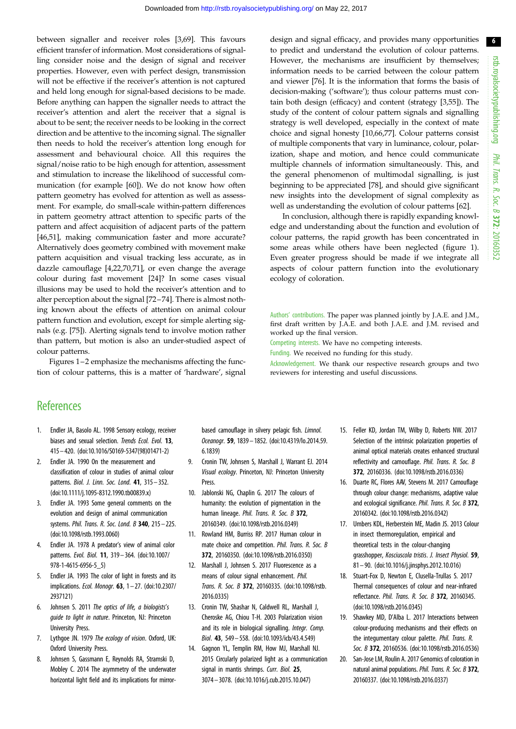<span id="page-5-0"></span>between signaller and receiver roles [3,[69](#page-6-0)]. This favours efficient transfer of information. Most considerations of signalling consider noise and the design of signal and receiver properties. However, even with perfect design, transmission will not be effective if the receiver's attention is not captured and held long enough for signal-based decisions to be made. Before anything can happen the signaller needs to attract the receiver's attention and alert the receiver that a signal is about to be sent; the receiver needs to be looking in the correct direction and be attentive to the incoming signal. The signaller then needs to hold the receiver's attention long enough for assessment and behavioural choice. All this requires the signal/noise ratio to be high enough for attention, assessment and stimulation to increase the likelihood of successful communication (for example [\[60](#page-6-0)]). We do not know how often pattern geometry has evolved for attention as well as assessment. For example, do small-scale within-pattern differences in pattern geometry attract attention to specific parts of the pattern and affect acquisition of adjacent parts of the pattern [\[46,51](#page-6-0)], making communication faster and more accurate? Alternatively does geometry combined with movement make pattern acquisition and visual tracking less accurate, as in dazzle camouflage [4,[22,70,](#page-6-0)[71\]](#page-7-0), or even change the average colour during fast movement [\[24](#page-6-0)]? In some cases visual illusions may be used to hold the receiver's attention and to alter perception about the signal [\[72](#page-7-0)–[74\]](#page-7-0). There is almost nothing known about the effects of attention on animal colour pattern function and evolution, except for simple alerting signals (e.g. [\[75](#page-7-0)]). Alerting signals tend to involve motion rather than pattern, but motion is also an under-studied aspect of colour patterns.

Figures [1](#page-1-0)–[2](#page-2-0) emphasize the mechanisms affecting the function of colour patterns, this is a matter of 'hardware', signal design and signal efficacy, and provides many opportunities to predict and understand the evolution of colour patterns. However, the mechanisms are insufficient by themselves; information needs to be carried between the colour pattern and viewer [[76](#page-7-0)]. It is the information that forms the basis of decision-making ('software'); thus colour patterns must contain both design (efficacy) and content (strategy [3,[55\]](#page-6-0)). The study of the content of colour pattern signals and signalling strategy is well developed, especially in the context of mate choice and signal honesty [10[,66](#page-6-0)[,77](#page-7-0)]. Colour patterns consist of multiple components that vary in luminance, colour, polarization, shape and motion, and hence could communicate multiple channels of information simultaneously. This, and the general phenomenon of multimodal signalling, is just beginning to be appreciated [\[78](#page-7-0)], and should give significant new insights into the development of signal complexity as well as understanding the evolution of colour patterns [[62\]](#page-6-0).

In conclusion, although there is rapidly expanding knowledge and understanding about the function and evolution of colour patterns, the rapid growth has been concentrated in some areas while others have been neglected ([figure 1\)](#page-1-0). Even greater progress should be made if we integrate all aspects of colour pattern function into the evolutionary ecology of coloration.

Authors' contributions. The paper was planned jointly by J.A.E. and J.M., first draft written by J.A.E. and both J.A.E. and J.M. revised and worked up the final version.

Competing interests. We have no competing interests.

Funding. We received no funding for this study.

Acknowledgement. We thank our respective research groups and two reviewers for interesting and useful discussions.

#### **References**

- 1. Endler JA, Basolo AL. 1998 Sensory ecology, receiver biases and sexual selection. Trends Ecol. Evol. 13, 415– 420. ([doi:10.1016/S0169-5347\(98\)01471-2\)](http://dx.doi.org/10.1016/S0169-5347(98)01471-2)
- 2. Endler JA. 1990 On the measurement and classification of colour in studies of animal colour patterns. Biol. J. Linn. Soc. Lond. 41, 315– 352. [\(doi:10.1111/j.1095-8312.1990.tb00839.x\)](http://dx.doi.org/10.1111/j.1095-8312.1990.tb00839.x)
- 3. Endler JA. 1993 Some general comments on the evolution and design of animal communication systems. Phil. Trans. R. Soc. Lond. B 340, 215 - 225. [\(doi:10.1098/rstb.1993.0060\)](http://dx.doi.org/10.1098/rstb.1993.0060)
- 4. Endler JA. 1978 A predator's view of animal color patterns. Evol. Biol. 11, 319– 364. [\(doi:10.1007/](http://dx.doi.org/10.1007/978-1-4615-6956-5_5) [978-1-4615-6956-5\\_5\)](http://dx.doi.org/10.1007/978-1-4615-6956-5_5)
- 5. Endler JA. 1993 The color of light in forests and its implications. Ecol. Monogr. 63, 1– 27. ([doi:10.2307/](http://dx.doi.org/10.2307/2937121) [2937121\)](http://dx.doi.org/10.2307/2937121)
- 6. Johnsen S. 2011 The optics of life, a biologists's guide to light in nature. Princeton, NJ: Princeton University Press.
- 7. Lythgoe JN. 1979 The ecology of vision. Oxford, UK: Oxford University Press.
- 8. Johnsen S, Gassmann E, Reynolds RA, Stramski D, Mobley C. 2014 The asymmetry of the underwater horizontal light field and its implications for mirror-

based camouflage in silvery pelagic fish. Limnol. Oceanogr. 59, 1839– 1852. [\(doi:10.4319/lo.2014.59.](http://dx.doi.org/10.4319/lo.2014.59.6.1839) [6.1839](http://dx.doi.org/10.4319/lo.2014.59.6.1839))

- 9. Cronin TW, Johnsen S, Marshall J, Warrant EJ. 2014 Visual ecology. Princeton, NJ: Princeton University Press.
- 10. Jablonski NG, Chaplin G. 2017 The colours of humanity: the evolution of pigmentation in the human lineage. Phil. Trans. R. Soc. B 372, 20160349. ([doi:10.1098/rstb.2016.0349](http://dx.doi.org/10.1098/rstb.2016.0349))
- 11. Rowland HM, Burriss RP. 2017 Human colour in mate choice and competition. Phil. Trans. R. Soc. B 372, 20160350. ([doi:10.1098/rstb.2016.0350\)](http://dx.doi.org/10.1098/rstb.2016.0350)
- 12. Marshall J, Johnsen S. 2017 Fluorescence as a means of colour signal enhancement. Phil. Trans. R. Soc. B 372, 20160335. [\(doi:10.1098/rstb.](http://dx.doi.org/10.1098/rstb.2016.0335) [2016.0335\)](http://dx.doi.org/10.1098/rstb.2016.0335)
- 13. Cronin TW, Shashar N, Caldwell RL, Marshall J, Cheroske AG, Chiou T-H. 2003 Polarization vision and its role in biological signalling. Integr. Comp. Biol. 43, 549 – 558. [\(doi:10.1093/icb/43.4.549\)](http://dx.doi.org/10.1093/icb/43.4.549)
- 14. Gagnon YL, Templin RM, How MJ, Marshall NJ. 2015 Circularly polarized light as a communication signal in mantis shrimps. Curr. Biol. 25, 3074– 3078. [\(doi:10.1016/j.cub.2015.10.047](http://dx.doi.org/10.1016/j.cub.2015.10.047))
- 15. Feller KD, Jordan TM, Wilby D, Roberts NW. 2017 Selection of the intrinsic polarization properties of animal optical materials creates enhanced structural reflectivity and camouflage. Phil. Trans. R. Soc. B 372, 20160336. ([doi:10.1098/rstb.2016.0336\)](http://dx.doi.org/10.1098/rstb.2016.0336)
- 16. Duarte RC, Flores AAV, Stevens M. 2017 Camouflage through colour change: mechanisms, adaptive value and ecological significance. Phil. Trans. R. Soc. B 372, 20160342. ([doi:10.1098/rstb.2016.0342\)](http://dx.doi.org/10.1098/rstb.2016.0342)
- 17. Umbers KDL, Herberstein ME, Madin JS. 2013 Colour in insect thermoregulation, empirical and theoretical tests in the colour-changing grasshopper, Kosciuscola tristis. J. Insect Physiol. 59, 81– 90. [\(doi:10.1016/j.jinsphys.2012.10.016\)](http://dx.doi.org/10.1016/j.jinsphys.2012.10.016)
- 18. Stuart-Fox D, Newton E, Clusella-Trullas S. 2017 Thermal consequences of colour and near-infrared reflectance. Phil. Trans. R. Soc. B 372, 20160345. ([doi:10.1098/rstb.2016.0345](http://dx.doi.org/10.1098/rstb.2016.0345))
- 19. Shawkey MD, D'Alba L. 2017 Interactions between colour-producing mechanisms and their effects on the integumentary colour palette. Phil. Trans. R. Soc. B 372, 20160536. [\(doi:10.1098/rstb.2016.0536](http://dx.doi.org/10.1098/rstb.2016.0536))
- 20. San-Jose LM, Roulin A. 2017 Genomics of coloration in natural animal populations. Phil. Trans. R. Soc. B 372, 20160337. ([doi:10.1098/rstb.2016.0337\)](http://dx.doi.org/10.1098/rstb.2016.0337)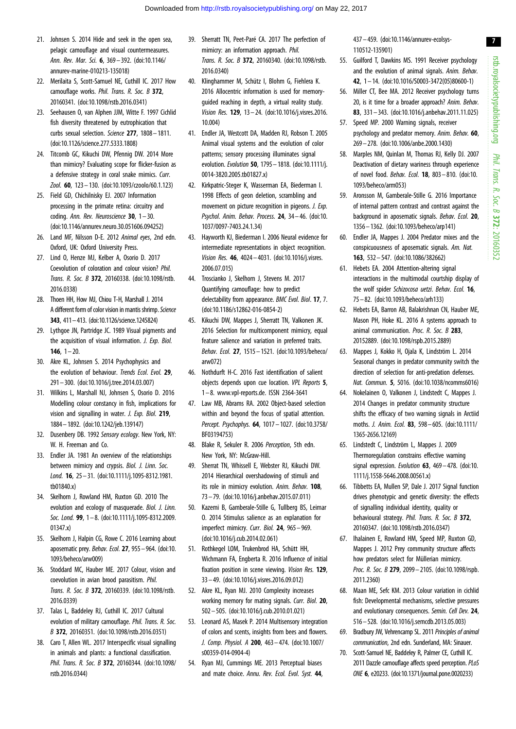- <span id="page-6-0"></span>21. Johnsen S. 2014 Hide and seek in the open sea, pelagic camouflage and visual countermeasures. Ann. Rev. Mar. Sci. 6, 369– 392. ([doi:10.1146/](http://dx.doi.org/10.1146/annurev-marine-010213-135018) [annurev-marine-010213-135018](http://dx.doi.org/10.1146/annurev-marine-010213-135018))
- 22. Merilaita S, Scott-Samuel NE, Cuthill IC. 2017 How camouflage works. Phil. Trans. R. Soc. B 372, 20160341. [\(doi:10.1098/rstb.2016.0341](http://dx.doi.org/10.1098/rstb.2016.0341))
- 23. Seehausen O, van Alphen JJM, Witte F. 1997 Cichlid fish diversity threatened by eutrophication that curbs sexual selection. Science 277, 1808 – 1811. [\(doi:10.1126/science.277.5333.1808](http://dx.doi.org/10.1126/science.277.5333.1808))
- 24. Titcomb GC, Kikuchi DW, Pfennig DW. 2014 More than mimicry? Evaluating scope for flicker-fusion as a defensive strategy in coral snake mimics. Curr. Zool. 60, 123– 130. ([doi:10.1093/czoolo/60.1.123\)](http://dx.doi.org/10.1093/czoolo/60.1.123)
- 25. Field GD, Chichilnisky EJ. 2007 Information processing in the primate retina: circuitry and coding. Ann. Rev. Neuroscience  $30$ ,  $1 - 30$ . [\(doi:10.1146/annurev.neuro.30.051606.094252\)](http://dx.doi.org/10.1146/annurev.neuro.30.051606.094252)
- 26. Land MF, Nilsson D-E. 2012 Animal eyes, 2nd edn. Oxford, UK: Oxford University Press.
- 27. Lind O, Henze MJ, Kelber A, Osorio D. 2017 Coevolution of coloration and colour vision? Phil. Trans. R. Soc. B 372, 20160338. [\(doi:10.1098/rstb.](http://dx.doi.org/10.1098/rstb.2016.0338) [2016.0338\)](http://dx.doi.org/10.1098/rstb.2016.0338)
- 28. Thoen HH, How MJ, Chiou T-H, Marshall J. 2014 A different form of color vision in mantis shrimp. Science 343, 411–413. [\(doi:10.1126/science.1245824\)](http://dx.doi.org/10.1126/science.1245824)
- 29. Lythgoe JN, Partridge JC, 1989 Visual pigments and the acquisition of visual information. J. Exp. Biol. 146,  $1 - 20$ .
- 30. Akre KL, Johnsen S. 2014 Psychophysics and the evolution of behaviour. Trends Ecol. Evol. 29, 291– 300. ([doi:10.1016/j.tree.2014.03.007\)](http://dx.doi.org/10.1016/j.tree.2014.03.007)
- 31. Wilkins L, Marshall NJ, Johnsen S, Osorio D. 2016 Modelling colour constancy in fish, implications for vision and signalling in water. *J. Exp. Biol.* 219, 1884 – 1892. [\(doi:10.1242/jeb.139147](http://dx.doi.org/10.1242/jeb.139147))
- 32. Dusenbery DB. 1992 Sensory ecology. New York, NY: W. H. Freeman and Co.
- 33. Endler JA. 1981 An overview of the relationships between mimicry and crypsis. Biol. J. Linn. Soc. Lond. **16**, 25 - 31. ([doi:10.1111/j.1095-8312.1981.](http://dx.doi.org/10.1111/j.1095-8312.1981.tb01840.x) [tb01840.x](http://dx.doi.org/10.1111/j.1095-8312.1981.tb01840.x))
- 34. Skelhorn J, Rowland HM, Ruxton GD. 2010 The evolution and ecology of masquerade. Biol. J. Linn. Soc. Lond. **99**, 1-8. ([doi:10.1111/j.1095-8312.2009.](http://dx.doi.org/10.1111/j.1095-8312.2009.01347.x) [01347.x\)](http://dx.doi.org/10.1111/j.1095-8312.2009.01347.x)
- 35. Skelhorn J, Halpin CG, Rowe C. 2016 Learning about aposematic prey. Behav. Ecol. 27, 955– 964. ([doi:10.](http://dx.doi.org/10.1093/beheco/arw009) [1093/beheco/arw009](http://dx.doi.org/10.1093/beheco/arw009))
- 36. Stoddard MC, Hauber ME. 2017 Colour, vision and coevolution in avian brood parasitism. Phil. Trans. R. Soc. B 372, 20160339. [\(doi:10.1098/rstb.](http://dx.doi.org/10.1098/rstb.2016.0339) [2016.0339\)](http://dx.doi.org/10.1098/rstb.2016.0339)
- 37. Talas L, Baddeley RJ, Cuthill IC. 2017 Cultural evolution of military camouflage. Phil. Trans. R. Soc. B 372, 20160351. ([doi:10.1098/rstb.2016.0351\)](http://dx.doi.org/10.1098/rstb.2016.0351)
- 38. Caro T, Allen WL. 2017 Interspecific visual signalling in animals and plants: a functional classification. Phil. Trans. R. Soc. B 372, 20160344. ([doi:10.1098/](http://dx.doi.org/10.1098/rstb.2016.0344) [rstb.2016.0344\)](http://dx.doi.org/10.1098/rstb.2016.0344)
- 39. Sherratt TN, Peet-Paré CA. 2017 The perfection of mimicry: an information approach. Phil. Trans. R. Soc. B 372, 20160340. [\(doi:10.1098/rstb.](http://dx.doi.org/10.1098/rstb.2016.0340) [2016.0340\)](http://dx.doi.org/10.1098/rstb.2016.0340)
- 40. Klinghammer M, Schütz I, Blohm G, Fiehlera K. 2016 Allocentric information is used for memoryguided reaching in depth, a virtual reality study. Vision Res. 129, 13 – 24. [\(doi:10.1016/j.visres.2016.](http://dx.doi.org/10.1016/j.visres.2016.10.004) [10.004](http://dx.doi.org/10.1016/j.visres.2016.10.004))
- 41. Endler JA, Westcott DA, Madden RJ, Robson T. 2005 Animal visual systems and the evolution of color patterns; sensory processing illuminates signal evolution. Evolution 50, 1795– 1818. [\(doi:10.1111/j.](http://dx.doi.org/10.1111/j.0014-3820.2005.tb01827.x) [0014-3820.2005.tb01827.x\)](http://dx.doi.org/10.1111/j.0014-3820.2005.tb01827.x)
- 42. Kirkpatric-Steger K, Wasserman EA, Biederman I. 1998 Effects of geon deletion, scrambling and movement on picture recognition in pigeons. J. Exp. Psychol. Anim. Behav. Process. 24, 34– 46. [\(doi:10.](http://dx.doi.org/10.1037/0097-7403.24.1.34) [1037/0097-7403.24.1.34](http://dx.doi.org/10.1037/0097-7403.24.1.34))
- 43. Hayworth KJ, Biederman I. 2006 Neural evidence for intermediate representations in object recognition. Vision Res. 46, 4024– 4031. ([doi:10.1016/j.visres.](http://dx.doi.org/10.1016/j.visres.2006.07.015) [2006.07.015\)](http://dx.doi.org/10.1016/j.visres.2006.07.015)
- 44. Troscianko J, Skelhorn J, Stevens M. 2017 Quantifying camouflage: how to predict delectability from appearance. BMC Evol. Biol. 17, 7. [\(doi:10.1186/s12862-016-0854-2](http://dx.doi.org/10.1186/s12862-016-0854-2))
- 45. Kikuchi DW, Mappes J, Sherratt TN, Valkonen JK. 2016 Selection for multicomponent mimicry, equal feature salience and variation in preferred traits. Behav. Ecol. 27, 1515 – 1521. [\(doi:10.1093/beheco/](http://dx.doi.org/10.1093/beheco/arw072) [arw072](http://dx.doi.org/10.1093/beheco/arw072))
- 46. Nothdurft H-C. 2016 Fast identification of salient objects depends upon cue location. VPL Reports 5, 1 – 8. [www.vpl-reports.de.](http://www.vpl-reports.de) ISSN 2364-3641
- 47. Law MB, Abrams RA. 2002 Object-based selection within and beyond the focus of spatial attention. Percept. Psychophys. 64, 1017– 1027. [\(doi:10.3758/](http://dx.doi.org/10.3758/BF03194753) [BF03194753\)](http://dx.doi.org/10.3758/BF03194753)
- 48. Blake R, Sekuler R. 2006 Perception, 5th edn. New York, NY: McGraw-Hill.
- 49. Sherrat TN, Whissell E, Webster RJ, Kikuchi DW. 2014 Hierarchical overshadowing of stimuli and its role in mimicry evolution. Anim. Behav. 108, 73 – 79. ([doi:10.1016/j.anbehav.2015.07.011](http://dx.doi.org/10.1016/j.anbehav.2015.07.011))
- 50. Kazemi B, Gamberale-Stille G, Tullberg BS, Leimar O. 2014 Stimulus salience as an explanation for imperfect mimicry. Curr. Biol. 24, 965– 969. [\(doi:10.1016/j.cub.2014.02.061](http://dx.doi.org/10.1016/j.cub.2014.02.061))
- 51. Rothkegel LOM, Trukenbrod HA, Schütt HH, Wichmann FA, Engberta R. 2016 Influence of initial fixation position in scene viewing. Vision Res. 129, 33 – 49. ([doi:10.1016/j.visres.2016.09.012\)](http://dx.doi.org/10.1016/j.visres.2016.09.012)
- 52. Akre KL, Ryan MJ. 2010 Complexity increases working memory for mating signals. Curr. Biol. 20, 502 – 505. [\(doi:10.1016/j.cub.2010.01.021](http://dx.doi.org/10.1016/j.cub.2010.01.021))
- 53. Leonard AS, Masek P. 2014 Multisensory integration of colors and scents, insights from bees and flowers. J. Comp. Physiol. A 200, 463– 474. ([doi:10.1007/](http://dx.doi.org/10.1007/s00359-014-0904-4) [s00359-014-0904-4\)](http://dx.doi.org/10.1007/s00359-014-0904-4)
- 54. Ryan MJ, Cummings ME. 2013 Perceptual biases and mate choice. Annu. Rev. Ecol. Evol. Syst. 44,

437– 459. [\(doi:10.1146/annurev-ecolsys-](http://dx.doi.org/10.1146/annurev-ecolsys-110512-135901)[110512-135901\)](http://dx.doi.org/10.1146/annurev-ecolsys-110512-135901)

- 55. Guilford T, Dawkins MS. 1991 Receiver psychology and the evolution of animal signals. Anim. Behav. 42, 1 – 14. [\(doi:10.1016/S0003-3472\(05\)80600-1](http://dx.doi.org/10.1016/S0003-3472(05)80600-1))
- 56. Miller CT, Bee MA. 2012 Receiver psychology turns 20, is it time for a broader approach? Anim. Behav. 83, 331 – 343. [\(doi:10.1016/j.anbehav.2011.11.025\)](http://dx.doi.org/10.1016/j.anbehav.2011.11.025)
- 57. Speed MP. 2000 Warning signals, receiver psychology and predator memory. Anim. Behav. 60, 269– 278. [\(doi:10.1006/anbe.2000.1430\)](http://dx.doi.org/10.1006/anbe.2000.1430)
- 58. Marples NM, Quinlan M, Thomas RJ, Kelly DJ. 2007 Deactivation of dietary wariness through experience of novel food. Behav. Ecol. 18, 803 – 810. [\(doi:10.](http://dx.doi.org/10.1093/beheco/arm053) [1093/beheco/arm053\)](http://dx.doi.org/10.1093/beheco/arm053)
- 59. Aronsson M, Gamberale-Stille G. 2016 Importance of internal pattern contrast and contrast against the background in aposematic signals. Behav. Ecol. 20, 1356– 1362. ([doi:10.1093/beheco/arp141](http://dx.doi.org/10.1093/beheco/arp141))
- 60. Endler JA, Mappes J. 2004 Predator mixes and the conspicuousness of aposematic signals. Am. Nat. 163, 532– 547. [\(doi:10.1086/382662\)](http://dx.doi.org/10.1086/382662)
- 61. Hebets EA. 2004 Attention-altering signal interactions in the multimodal courtship display of the wolf spider Schizocosa uetzi. Behav. Ecol. 16, 75– 82. [\(doi:10.1093/beheco/arh133\)](http://dx.doi.org/10.1093/beheco/arh133)
- 62. Hebets EA, Barron AB, Balakrishnan CN, Hauber ME, Mason PH, Hoke KL. 2016 A systems approach to animal communication. Proc. R. Soc. B 283, 20152889. ([doi:10.1098/rspb.2015.2889](http://dx.doi.org/10.1098/rspb.2015.2889))
- 63. Mappes J, Kokko H, Ojala K, Lindström L. 2014 Seasonal changes in predator community switch the direction of selection for anti-predation defenses. Nat. Commun. 5, 5016. ([doi:10.1038/ncomms6016](http://dx.doi.org/10.1038/ncomms6016))
- 64. Nokelainen O, Valkonen J, Lindstedt C, Mappes J. 2014 Changes in predator community structure shifts the efficacy of two warning signals in Arctiid moths. J. Anim. Ecol. 83, 598– 605. [\(doi:10.1111/](http://dx.doi.org/10.1111/1365-2656.12169) [1365-2656.12169\)](http://dx.doi.org/10.1111/1365-2656.12169)
- 65. Lindstedt C, Lindström L, Mappes J. 2009 Thermoregulation constrains effective warning signal expression. Evolution  $63$ ,  $469 - 478$ . [\(doi:10.](http://dx.doi.org/10.1111/j.1558-5646.2008.00561.x) [1111/j.1558-5646.2008.00561.x\)](http://dx.doi.org/10.1111/j.1558-5646.2008.00561.x)
- 66. Tibbetts EA, Mullen SP, Dale J. 2017 Signal function drives phenotypic and genetic diversity: the effects of signalling individual identity, quality or behavioural strategy. Phil. Trans. R. Soc. B 372. 20160347. ([doi:10.1098/rstb.2016.0347\)](http://dx.doi.org/10.1098/rstb.2016.0347)
- 67. Ihalainen E, Rowland HM, Speed MP, Ruxton GD, Mappes J. 2012 Prey community structure affects how predators select for Müllerian mimicry. Proc. R. Soc. B 279, 2099-2105. ([doi:10.1098/rspb.](http://dx.doi.org/10.1098/rspb.2011.2360) [2011.2360](http://dx.doi.org/10.1098/rspb.2011.2360))
- 68. Maan ME, Sefc KM. 2013 Colour variation in cichlid fish: Developmental mechanisms, selective pressures and evolutionary consequences. Semin. Cell Dev. 24, 516– 528. [\(doi:10.1016/j.semcdb.2013.05.003\)](http://dx.doi.org/10.1016/j.semcdb.2013.05.003)
- 69. Bradbury JW, Vehrencamp SL, 2011 Principles of animal communication, 2nd edn. Sunderland, MA: Sinauer.
- 70. Scott-Samuel NE, Baddeley R, Palmer CE, Cuthill IC. 2011 Dazzle camouflage affects speed perception. PLoS ONE 6, e20233. [\(doi:10.1371/journal.pone.0020233\)](http://dx.doi.org/10.1371/journal.pone.0020233)